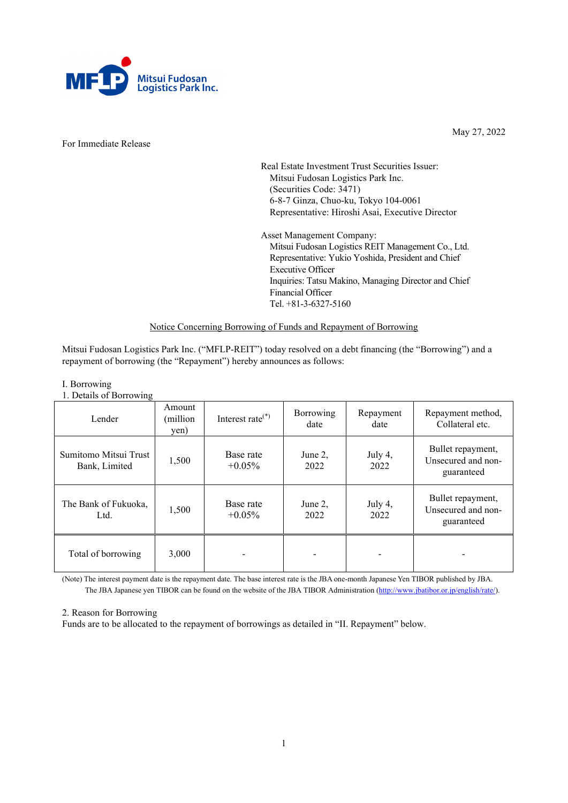

For Immediate Release

May 27, 2022

Real Estate Investment Trust Securities Issuer: Mitsui Fudosan Logistics Park Inc. (Securities Code: 3471) 6-8-7 Ginza, Chuo-ku, Tokyo 104-0061 Representative: Hiroshi Asai, Executive Director

Asset Management Company: Mitsui Fudosan Logistics REIT Management Co., Ltd. Representative: Yukio Yoshida, President and Chief Executive Officer Inquiries: Tatsu Makino, Managing Director and Chief Financial Officer Tel. +81-3-6327-5160

### Notice Concerning Borrowing of Funds and Repayment of Borrowing

Mitsui Fudosan Logistics Park Inc. ("MFLP-REIT") today resolved on a debt financing (the "Borrowing") and a repayment of borrowing (the "Repayment") hereby announces as follows:

# I. Borrowing

1. Details of Borrowing

| Lender                                 | Amount<br>(million)<br>yen) | Interest rate $(*)$    | Borrowing<br>date | Repayment<br>date | Repayment method,<br>Collateral etc.                  |
|----------------------------------------|-----------------------------|------------------------|-------------------|-------------------|-------------------------------------------------------|
| Sumitomo Mitsui Trust<br>Bank, Limited | 1,500                       | Base rate<br>$+0.05\%$ | June 2,<br>2022   | July 4,<br>2022   | Bullet repayment,<br>Unsecured and non-<br>guaranteed |
| The Bank of Fukuoka,<br>Ltd.           | 1,500                       | Base rate<br>$+0.05\%$ | June 2,<br>2022   | July 4,<br>2022   | Bullet repayment,<br>Unsecured and non-<br>guaranteed |
| Total of borrowing                     | 3,000                       |                        |                   |                   |                                                       |

(Note) The interest payment date is the repayment date. The base interest rate is the JBA one-month Japanese Yen TIBOR published by JBA. The JBA Japanese yen TIBOR can be found on the website of the JBA TIBOR Administration [\(http://www.jbatibor.or.jp/english/rate/\)](http://www.jbatibor.or.jp/english/rate/).

#### 2. Reason for Borrowing

Funds are to be allocated to the repayment of borrowings as detailed in "II. Repayment" below.